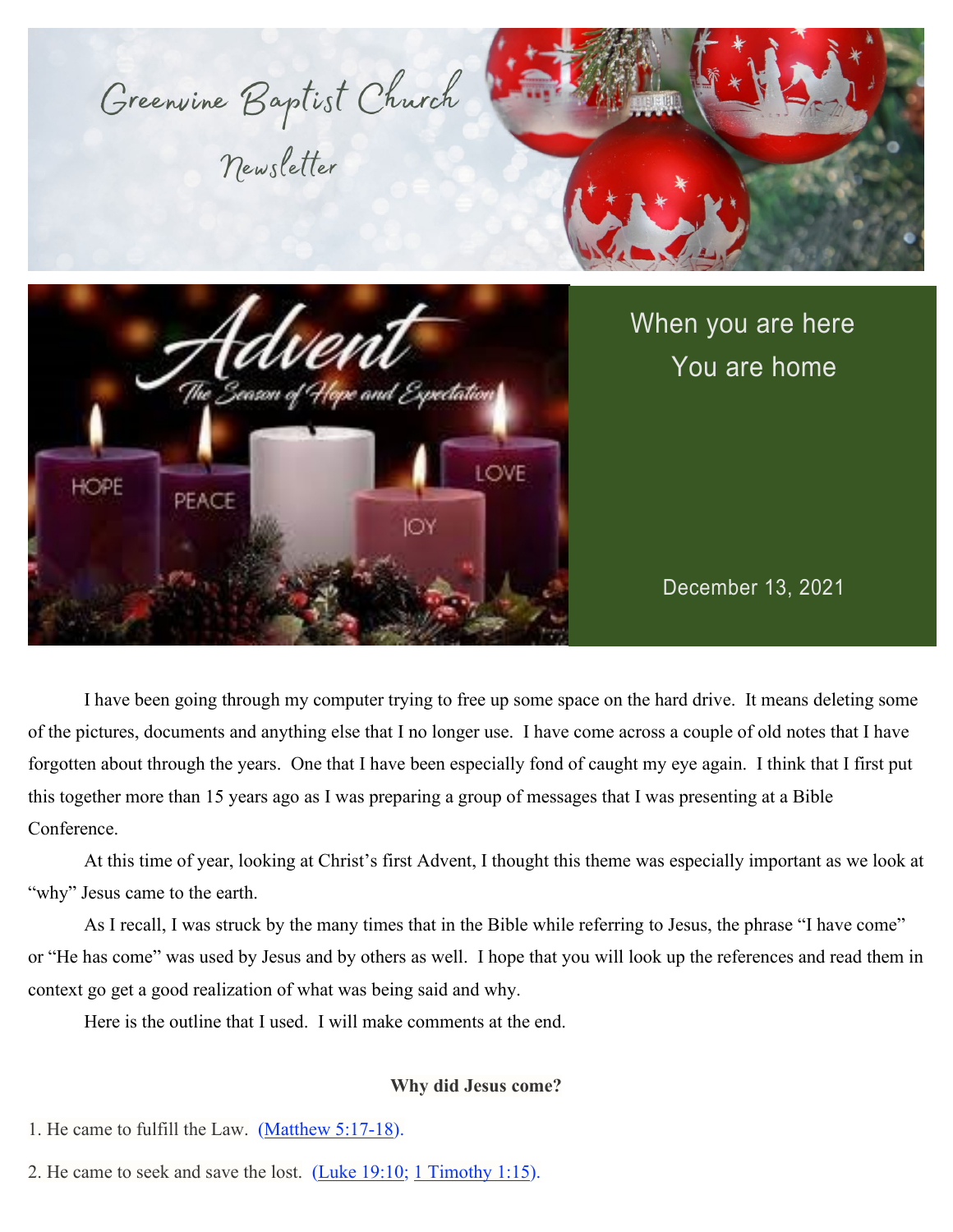

I have been going through my computer trying to free up some space on the hard drive. It means deleting some of the pictures, documents and anything else that I no longer use. I have come across a couple of old notes that I have forgotten about through the years. One that I have been especially fond of caught my eye again. I think that I first put this together more than 15 years ago as I was preparing a group of messages that I was presenting at a Bible Conference.

At this time of year, looking at Christ's first Advent, I thought this theme was especially important as we look at "why" Jesus came to the earth.

As I recall, I was struck by the many times that in the Bible while referring to Jesus, the phrase "I have come" or "He has come" was used by Jesus and by others as well. I hope that you will look up the references and read them in context go get a good realization of what was being said and why.

Here is the outline that I used. I will make comments at the end.

### **Why did Jesus come?**

- 1. He came to fulfill the Law. [\(Matthew 5:17-18\)](https://www.biblegateway.com/passage/?search=Matthew%205%3A17-18&version=NIV;NLT;KJV).
- 2. He came to seek and save the lost.  $(Luke 19:10; 1 Timothy 1:15)$  $(Luke 19:10; 1 Timothy 1:15)$ .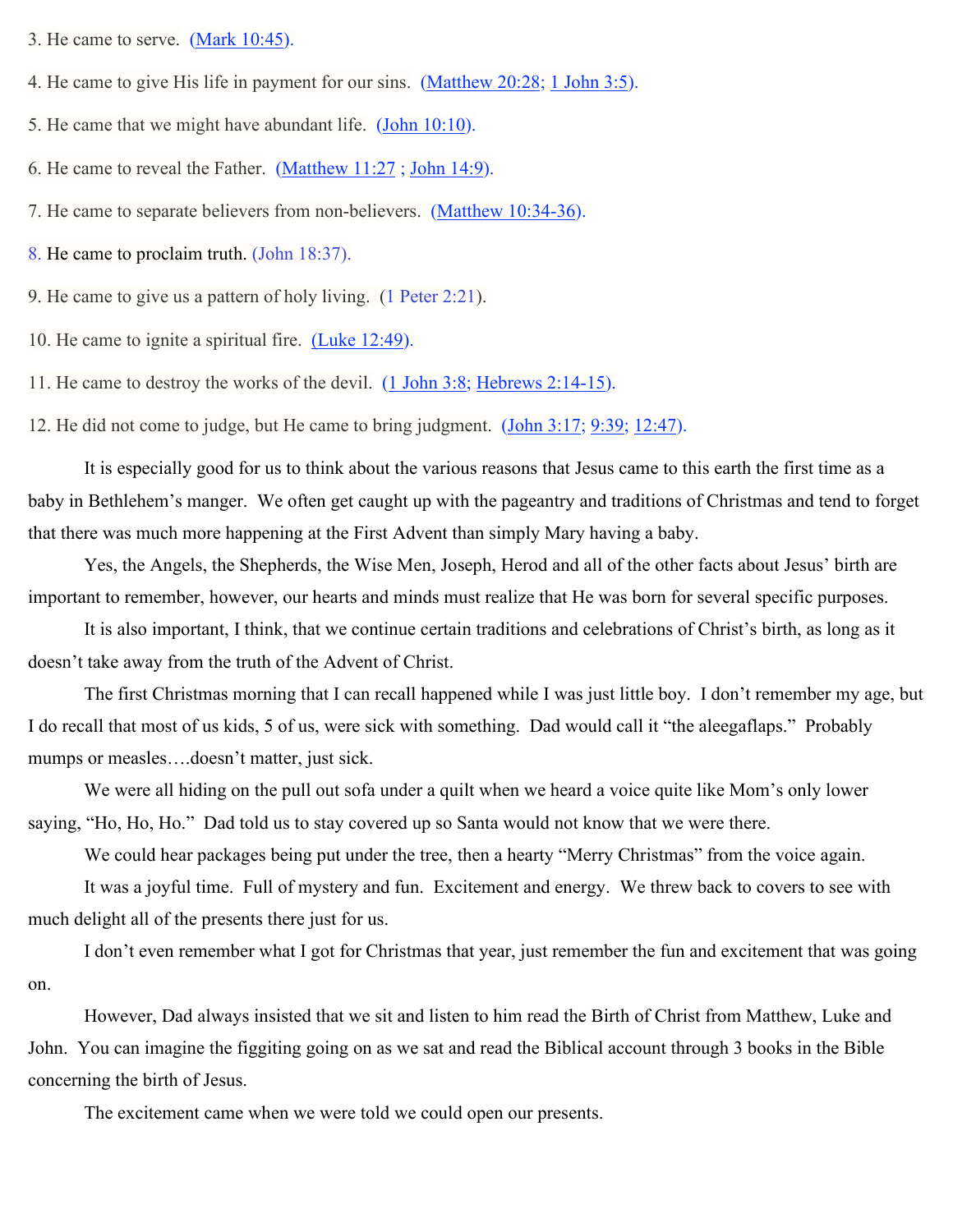- 3. He came to serve. [\(Mark 10:45\)](http://biblehub.com/mark/10-45.htm).
- 4. He came to give His life in payment for our sins. [\(Matthew 20:28;](http://biblehub.com/matthew/20-28.htm) [1 John 3:5\)](http://biblehub.com/1_john/3-5.htm).
- 5. He came that we might have abundant life. [\(John 10:10\)](http://biblehub.com/john/10-10.htm).
- 6. He came to reveal the Father. [\(Matthew 11:27](http://biblehub.com/matthew/11-27.htm) ; [John 14:9\)](http://biblehub.com/john/14-9.htm).
- 7. He came to separate believers from non-believers. [\(Matthew 10:34-36\)](https://www.biblegateway.com/passage/?search=Matthew%2010%3A34-36&version=NIV;NLT;KJV).
- 8. He came to proclaim truth. [\(John 18:37\).](http://biblehub.com/john/18-37.htm)

9. He came to give us a pattern of holy living. [\(1 Peter 2:21\)](http://biblehub.com/1_peter/2-21.htm).

10. He came to ignite a spiritual fire. [\(Luke 12:49\)](http://biblehub.com/luke/12-49.htm).

11. He came to destroy the works of the devil. [\(1 John 3:8;](http://biblehub.com/1_john/3-8.htm) [Hebrews 2:14-15\)](https://www.biblegateway.com/passage/?search=Hebrews%202%3A14-15&version=NIV;NLT;KJV).

12. He did not come to judge, but He came to bring judgment. [\(John 3:17;](http://biblehub.com/john/3-17.htm) [9:39;](http://biblehub.com/john/9-39.htm) [12:47\)](http://biblehub.com/john/12-47.htm).

It is especially good for us to think about the various reasons that Jesus came to this earth the first time as a baby in Bethlehem's manger. We often get caught up with the pageantry and traditions of Christmas and tend to forget that there was much more happening at the First Advent than simply Mary having a baby.

Yes, the Angels, the Shepherds, the Wise Men, Joseph, Herod and all of the other facts about Jesus' birth are important to remember, however, our hearts and minds must realize that He was born for several specific purposes.

It is also important, I think, that we continue certain traditions and celebrations of Christ's birth, as long as it doesn't take away from the truth of the Advent of Christ.

The first Christmas morning that I can recall happened while I was just little boy. I don't remember my age, but I do recall that most of us kids, 5 of us, were sick with something. Dad would call it "the aleegaflaps." Probably mumps or measles….doesn't matter, just sick.

We were all hiding on the pull out sofa under a quilt when we heard a voice quite like Mom's only lower saying, "Ho, Ho, Ho." Dad told us to stay covered up so Santa would not know that we were there.

We could hear packages being put under the tree, then a hearty "Merry Christmas" from the voice again.

It was a joyful time. Full of mystery and fun. Excitement and energy. We threw back to covers to see with much delight all of the presents there just for us.

I don't even remember what I got for Christmas that year, just remember the fun and excitement that was going on.

However, Dad always insisted that we sit and listen to him read the Birth of Christ from Matthew, Luke and John. You can imagine the figgiting going on as we sat and read the Biblical account through 3 books in the Bible concerning the birth of Jesus.

The excitement came when we were told we could open our presents.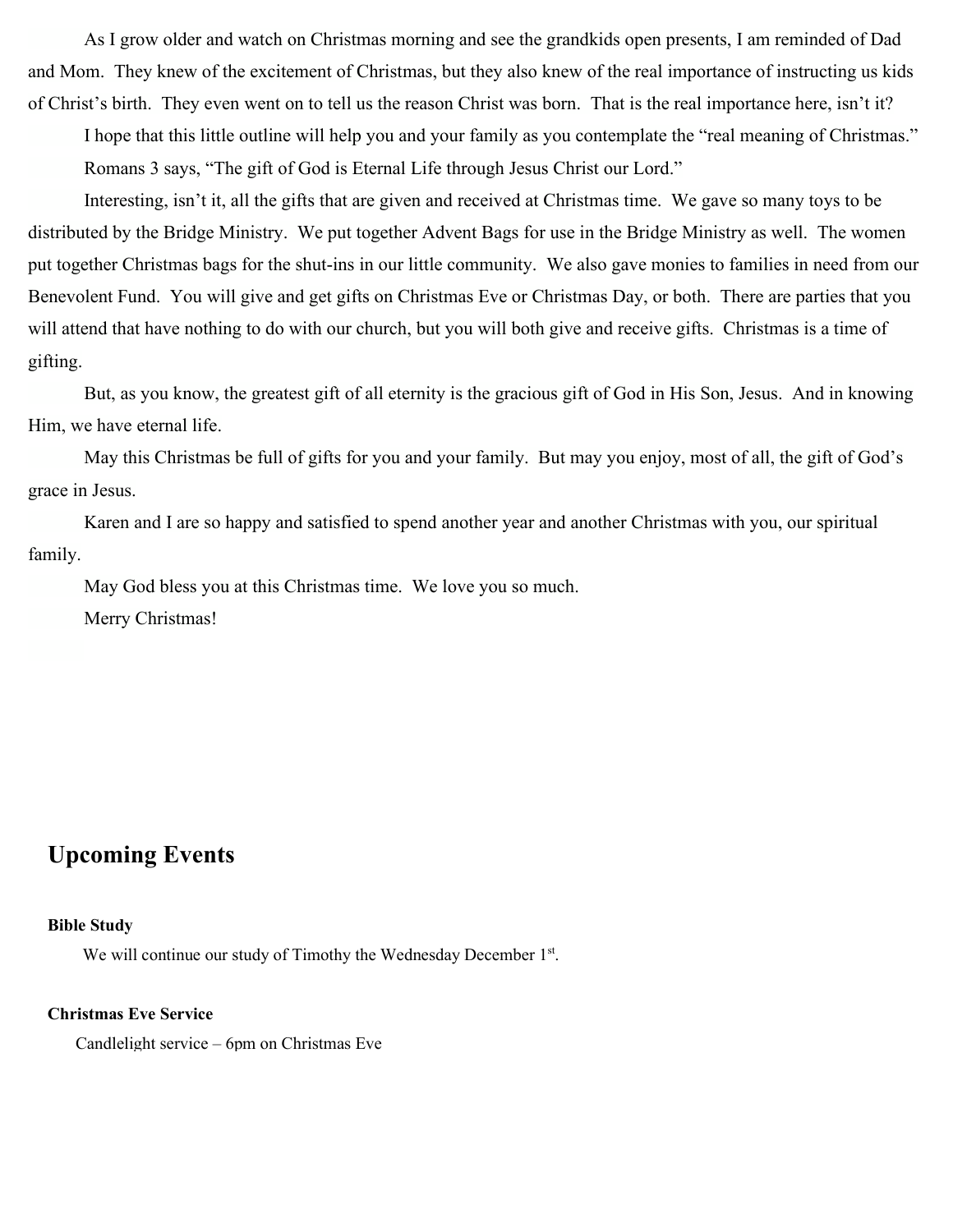As I grow older and watch on Christmas morning and see the grandkids open presents, I am reminded of Dad and Mom. They knew of the excitement of Christmas, but they also knew of the real importance of instructing us kids of Christ's birth. They even went on to tell us the reason Christ was born. That is the real importance here, isn't it?

I hope that this little outline will help you and your family as you contemplate the "real meaning of Christmas." Romans 3 says, "The gift of God is Eternal Life through Jesus Christ our Lord."

Interesting, isn't it, all the gifts that are given and received at Christmas time. We gave so many toys to be distributed by the Bridge Ministry. We put together Advent Bags for use in the Bridge Ministry as well. The women put together Christmas bags for the shut-ins in our little community. We also gave monies to families in need from our Benevolent Fund. You will give and get gifts on Christmas Eve or Christmas Day, or both. There are parties that you will attend that have nothing to do with our church, but you will both give and receive gifts. Christmas is a time of gifting.

But, as you know, the greatest gift of all eternity is the gracious gift of God in His Son, Jesus. And in knowing Him, we have eternal life.

May this Christmas be full of gifts for you and your family. But may you enjoy, most of all, the gift of God's grace in Jesus.

Karen and I are so happy and satisfied to spend another year and another Christmas with you, our spiritual family.

May God bless you at this Christmas time. We love you so much. Merry Christmas!

## **Upcoming Events**

#### **Bible Study**

We will continue our study of Timothy the Wednesday December 1<sup>st</sup>.

#### **Christmas Eve Service**

Candlelight service – 6pm on Christmas Eve